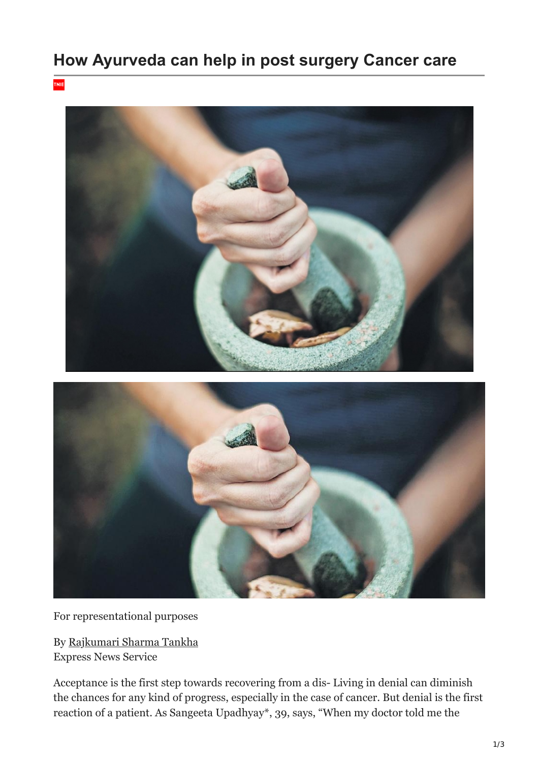## **How Ayurveda can help in post surgery Cancer care**

TNIE



For representational purposes

By [Rajkumari Sharma Tankha](https://www.newindianexpress.com/author/Rajkumari-Sharma-Tankha/19579) Express News Service

Acceptance is the first step towards recovering from a dis- Living in denial can diminish the chances for any kind of progress, especially in the case of cancer. But denial is the first reaction of a patient. As Sangeeta Upadhyay\*, 39, says, "When my doctor told me the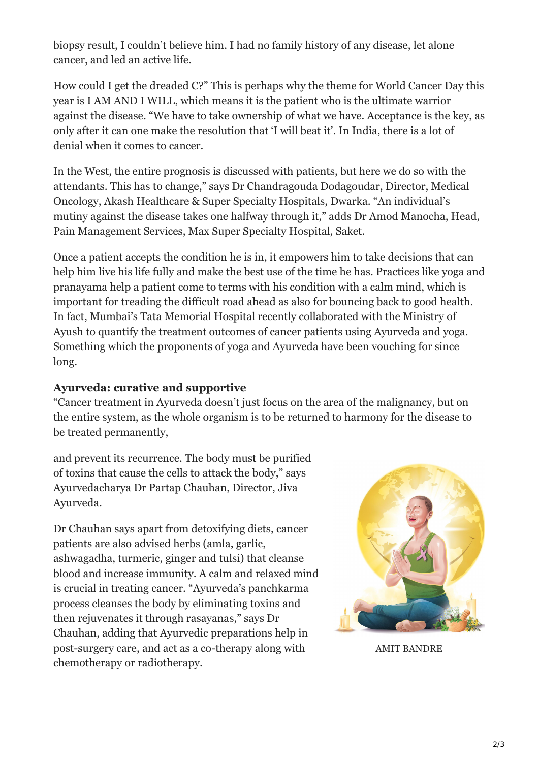biopsy result, I couldn't believe him. I had no family history of any disease, let alone cancer, and led an active life.

How could I get the dreaded C?" This is perhaps why the theme for World Cancer Day this year is I AM AND I WILL, which means it is the patient who is the ultimate warrior against the disease. "We have to take ownership of what we have. Acceptance is the key, as only after it can one make the resolution that 'I will beat it'. In India, there is a lot of denial when it comes to cancer.

In the West, the entire prognosis is discussed with patients, but here we do so with the attendants. This has to change," says Dr Chandragouda Dodagoudar, Director, Medical Oncology, Akash Healthcare & Super Specialty Hospitals, Dwarka. "An individual's mutiny against the disease takes one halfway through it," adds Dr Amod Manocha, Head, Pain Management Services, Max Super Specialty Hospital, Saket.

Once a patient accepts the condition he is in, it empowers him to take decisions that can help him live his life fully and make the best use of the time he has. Practices like yoga and pranayama help a patient come to terms with his condition with a calm mind, which is important for treading the difficult road ahead as also for bouncing back to good health. In fact, Mumbai's Tata Memorial Hospital recently collaborated with the Ministry of Ayush to quantify the treatment outcomes of cancer patients using Ayurveda and yoga. Something which the proponents of yoga and Ayurveda have been vouching for since long.

## **Ayurveda: curative and supportive**

"Cancer treatment in Ayurveda doesn't just focus on the area of the malignancy, but on the entire system, as the whole organism is to be returned to harmony for the disease to be treated permanently,

and prevent its recurrence. The body must be purified of toxins that cause the cells to attack the body," says Ayurvedacharya Dr Partap Chauhan, Director, Jiva Ayurveda.

Dr Chauhan says apart from detoxifying diets, cancer patients are also advised herbs (amla, garlic, ashwagadha, turmeric, ginger and tulsi) that cleanse blood and increase immunity. A calm and relaxed mind is crucial in treating cancer. "Ayurveda's panchkarma process cleanses the body by eliminating toxins and then rejuvenates it through rasayanas," says Dr Chauhan, adding that Ayurvedic preparations help in post-surgery care, and act as a co-therapy along with chemotherapy or radiotherapy.



AMIT BANDRE